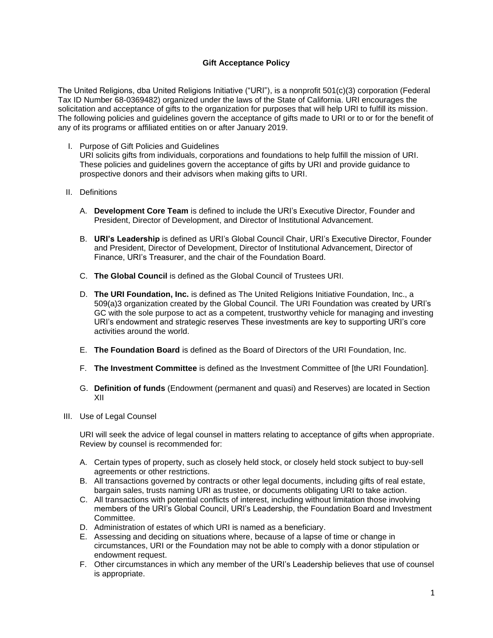## **Gift Acceptance Policy**

The United Religions, dba United Religions Initiative ("URI"), is a nonprofit 501(c)(3) corporation (Federal Tax ID Number 68-0369482) organized under the laws of the State of California. URI encourages the solicitation and acceptance of gifts to the organization for purposes that will help URI to fulfill its mission. The following policies and guidelines govern the acceptance of gifts made to URI or to or for the benefit of any of its programs or affiliated entities on or after January 2019.

- I. Purpose of Gift Policies and Guidelines URI solicits gifts from individuals, corporations and foundations to help fulfill the mission of URI. These policies and guidelines govern the acceptance of gifts by URI and provide guidance to prospective donors and their advisors when making gifts to URI.
- II. Definitions
	- A. **Development Core Team** is defined to include the URI's Executive Director, Founder and President, Director of Development, and Director of Institutional Advancement.
	- B. **URI's Leadership** is defined as URI's Global Council Chair, URI's Executive Director, Founder and President, Director of Development, Director of Institutional Advancement, Director of Finance, URI's Treasurer, and the chair of the Foundation Board.
	- C. **The Global Council** is defined as the Global Council of Trustees URI.
	- D. **The URI Foundation, Inc.** is defined as The United Religions Initiative Foundation, Inc., a 509(a)3 organization created by the Global Council. The URI Foundation was created by URI's GC with the sole purpose to act as a competent, trustworthy vehicle for managing and investing URI's endowment and strategic reserves These investments are key to supporting URI's core activities around the world.
	- E. **The Foundation Board** is defined as the Board of Directors of the URI Foundation, Inc.
	- F. **The Investment Committee** is defined as the Investment Committee of [the URI Foundation].
	- G. **Definition of funds** (Endowment (permanent and quasi) and Reserves) are located in Section XII
- III. Use of Legal Counsel

URI will seek the advice of legal counsel in matters relating to acceptance of gifts when appropriate. Review by counsel is recommended for:

- A. Certain types of property, such as closely held stock, or closely held stock subject to buy-sell agreements or other restrictions.
- B. All transactions governed by contracts or other legal documents, including gifts of real estate, bargain sales, trusts naming URI as trustee, or documents obligating URI to take action.
- C. All transactions with potential conflicts of interest, including without limitation those involving members of the URI's Global Council, URI's Leadership, the Foundation Board and Investment Committee.
- D. Administration of estates of which URI is named as a beneficiary.
- E. Assessing and deciding on situations where, because of a lapse of time or change in circumstances, URI or the Foundation may not be able to comply with a donor stipulation or endowment request.
- F. Other circumstances in which any member of the URI's Leadership believes that use of counsel is appropriate.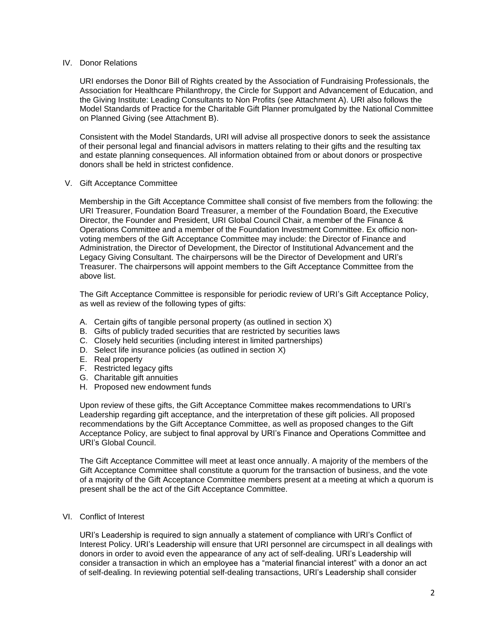### IV. Donor Relations

URI endorses the Donor Bill of Rights created by the Association of Fundraising Professionals, the Association for Healthcare Philanthropy, the Circle for Support and Advancement of Education, and the Giving Institute: Leading Consultants to Non Profits (see Attachment A). URI also follows the Model Standards of Practice for the Charitable Gift Planner promulgated by the National Committee on Planned Giving (see Attachment B).

Consistent with the Model Standards, URI will advise all prospective donors to seek the assistance of their personal legal and financial advisors in matters relating to their gifts and the resulting tax and estate planning consequences. All information obtained from or about donors or prospective donors shall be held in strictest confidence.

## V. Gift Acceptance Committee

Membership in the Gift Acceptance Committee shall consist of five members from the following: the URI Treasurer, Foundation Board Treasurer, a member of the Foundation Board, the Executive Director, the Founder and President, URI Global Council Chair, a member of the Finance & Operations Committee and a member of the Foundation Investment Committee. Ex officio nonvoting members of the Gift Acceptance Committee may include: the Director of Finance and Administration, the Director of Development, the Director of Institutional Advancement and the Legacy Giving Consultant. The chairpersons will be the Director of Development and URI's Treasurer. The chairpersons will appoint members to the Gift Acceptance Committee from the above list.

The Gift Acceptance Committee is responsible for periodic review of URI's Gift Acceptance Policy, as well as review of the following types of gifts:

- A. Certain gifts of tangible personal property (as outlined in section X)
- B. Gifts of publicly traded securities that are restricted by securities laws
- C. Closely held securities (including interest in limited partnerships)
- D. Select life insurance policies (as outlined in section X)
- E. Real property
- F. Restricted legacy gifts
- G. Charitable gift annuities
- H. Proposed new endowment funds

Upon review of these gifts, the Gift Acceptance Committee makes recommendations to URI's Leadership regarding gift acceptance, and the interpretation of these gift policies. All proposed recommendations by the Gift Acceptance Committee, as well as proposed changes to the Gift Acceptance Policy, are subject to final approval by URI's Finance and Operations Committee and URI's Global Council.

The Gift Acceptance Committee will meet at least once annually. A majority of the members of the Gift Acceptance Committee shall constitute a quorum for the transaction of business, and the vote of a majority of the Gift Acceptance Committee members present at a meeting at which a quorum is present shall be the act of the Gift Acceptance Committee.

## VI. Conflict of Interest

URI's Leadership is required to sign annually a statement of compliance with URI's Conflict of Interest Policy. URI's Leadership will ensure that URI personnel are circumspect in all dealings with donors in order to avoid even the appearance of any act of self-dealing. URI's Leadership will consider a transaction in which an employee has a "material financial interest" with a donor an act of self-dealing. In reviewing potential self-dealing transactions, URI's Leadership shall consider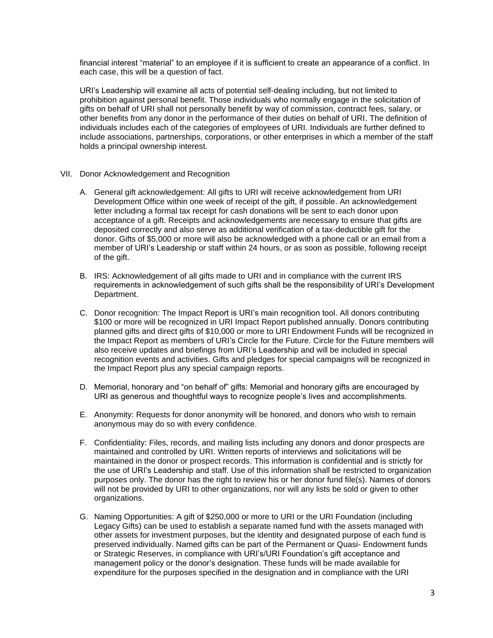financial interest "material" to an employee if it is sufficient to create an appearance of a conflict. In each case, this will be a question of fact.

URI's Leadership will examine all acts of potential self-dealing including, but not limited to prohibition against personal benefit. Those individuals who normally engage in the solicitation of gifts on behalf of URI shall not personally benefit by way of commission, contract fees, salary, or other benefits from any donor in the performance of their duties on behalf of URI. The definition of individuals includes each of the categories of employees of URI. Individuals are further defined to include associations, partnerships, corporations, or other enterprises in which a member of the staff holds a principal ownership interest.

- VII. Donor Acknowledgement and Recognition
	- A. General gift acknowledgement: All gifts to URI will receive acknowledgement from URI Development Office within one week of receipt of the gift, if possible. An acknowledgement letter including a formal tax receipt for cash donations will be sent to each donor upon acceptance of a gift. Receipts and acknowledgements are necessary to ensure that gifts are deposited correctly and also serve as additional verification of a tax-deductible gift for the donor. Gifts of \$5,000 or more will also be acknowledged with a phone call or an email from a member of URI's Leadership or staff within 24 hours, or as soon as possible, following receipt of the gift.
	- B. IRS: Acknowledgement of all gifts made to URI and in compliance with the current IRS requirements in acknowledgement of such gifts shall be the responsibility of URI's Development Department.
	- C. Donor recognition: The Impact Report is URI's main recognition tool. All donors contributing \$100 or more will be recognized in URI Impact Report published annually. Donors contributing planned gifts and direct gifts of \$10,000 or more to URI Endowment Funds will be recognized in the Impact Report as members of URI's Circle for the Future. Circle for the Future members will also receive updates and briefings from URI's Leadership and will be included in special recognition events and activities. Gifts and pledges for special campaigns will be recognized in the Impact Report plus any special campaign reports.
	- D. Memorial, honorary and "on behalf of" gifts: Memorial and honorary gifts are encouraged by URI as generous and thoughtful ways to recognize people's lives and accomplishments.
	- E. Anonymity: Requests for donor anonymity will be honored, and donors who wish to remain anonymous may do so with every confidence.
	- F. Confidentiality: Files, records, and mailing lists including any donors and donor prospects are maintained and controlled by URI. Written reports of interviews and solicitations will be maintained in the donor or prospect records. This information is confidential and is strictly for the use of URI's Leadership and staff. Use of this information shall be restricted to organization purposes only. The donor has the right to review his or her donor fund file(s). Names of donors will not be provided by URI to other organizations, nor will any lists be sold or given to other organizations.
	- G. Naming Opportunities: A gift of \$250,000 or more to URI or the URI Foundation (including Legacy Gifts) can be used to establish a separate named fund with the assets managed with other assets for investment purposes, but the identity and designated purpose of each fund is preserved individually. Named gifts can be part of the Permanent or Quasi- Endowment funds or Strategic Reserves, in compliance with URI's/URI Foundation's gift acceptance and management policy or the donor's designation. These funds will be made available for expenditure for the purposes specified in the designation and in compliance with the URI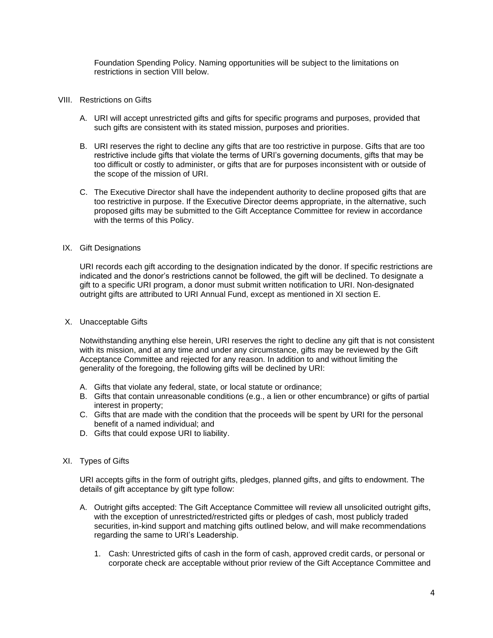Foundation Spending Policy. Naming opportunities will be subject to the limitations on restrictions in section VIII below.

#### VIII. Restrictions on Gifts

- A. URI will accept unrestricted gifts and gifts for specific programs and purposes, provided that such gifts are consistent with its stated mission, purposes and priorities.
- B. URI reserves the right to decline any gifts that are too restrictive in purpose. Gifts that are too restrictive include gifts that violate the terms of URI's governing documents, gifts that may be too difficult or costly to administer, or gifts that are for purposes inconsistent with or outside of the scope of the mission of URI.
- C. The Executive Director shall have the independent authority to decline proposed gifts that are too restrictive in purpose. If the Executive Director deems appropriate, in the alternative, such proposed gifts may be submitted to the Gift Acceptance Committee for review in accordance with the terms of this Policy.

### IX. Gift Designations

URI records each gift according to the designation indicated by the donor. If specific restrictions are indicated and the donor's restrictions cannot be followed, the gift will be declined. To designate a gift to a specific URI program, a donor must submit written notification to URI. Non-designated outright gifts are attributed to URI Annual Fund, except as mentioned in XI section E.

#### X. Unacceptable Gifts

Notwithstanding anything else herein, URI reserves the right to decline any gift that is not consistent with its mission, and at any time and under any circumstance, gifts may be reviewed by the Gift Acceptance Committee and rejected for any reason. In addition to and without limiting the generality of the foregoing, the following gifts will be declined by URI:

- A. Gifts that violate any federal, state, or local statute or ordinance;
- B. Gifts that contain unreasonable conditions (e.g., a lien or other encumbrance) or gifts of partial interest in property;
- C. Gifts that are made with the condition that the proceeds will be spent by URI for the personal benefit of a named individual; and
- D. Gifts that could expose URI to liability.

### XI. Types of Gifts

URI accepts gifts in the form of outright gifts, pledges, planned gifts, and gifts to endowment. The details of gift acceptance by gift type follow:

- A. Outright gifts accepted: The Gift Acceptance Committee will review all unsolicited outright gifts, with the exception of unrestricted/restricted gifts or pledges of cash, most publicly traded securities, in-kind support and matching gifts outlined below, and will make recommendations regarding the same to URI's Leadership.
	- 1. Cash: Unrestricted gifts of cash in the form of cash, approved credit cards, or personal or corporate check are acceptable without prior review of the Gift Acceptance Committee and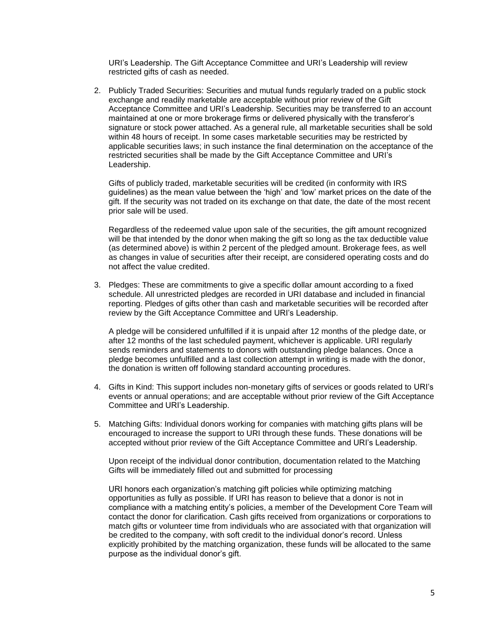URI's Leadership. The Gift Acceptance Committee and URI's Leadership will review restricted gifts of cash as needed.

2. Publicly Traded Securities: Securities and mutual funds regularly traded on a public stock exchange and readily marketable are acceptable without prior review of the Gift Acceptance Committee and URI's Leadership. Securities may be transferred to an account maintained at one or more brokerage firms or delivered physically with the transferor's signature or stock power attached. As a general rule, all marketable securities shall be sold within 48 hours of receipt. In some cases marketable securities may be restricted by applicable securities laws; in such instance the final determination on the acceptance of the restricted securities shall be made by the Gift Acceptance Committee and URI's Leadership.

Gifts of publicly traded, marketable securities will be credited (in conformity with IRS guidelines) as the mean value between the 'high' and 'low' market prices on the date of the gift. If the security was not traded on its exchange on that date, the date of the most recent prior sale will be used.

Regardless of the redeemed value upon sale of the securities, the gift amount recognized will be that intended by the donor when making the gift so long as the tax deductible value (as determined above) is within 2 percent of the pledged amount. Brokerage fees, as well as changes in value of securities after their receipt, are considered operating costs and do not affect the value credited.

3. Pledges: These are commitments to give a specific dollar amount according to a fixed schedule. All unrestricted pledges are recorded in URI database and included in financial reporting. Pledges of gifts other than cash and marketable securities will be recorded after review by the Gift Acceptance Committee and URI's Leadership.

A pledge will be considered unfulfilled if it is unpaid after 12 months of the pledge date, or after 12 months of the last scheduled payment, whichever is applicable. URI regularly sends reminders and statements to donors with outstanding pledge balances. Once a pledge becomes unfulfilled and a last collection attempt in writing is made with the donor, the donation is written off following standard accounting procedures.

- 4. Gifts in Kind: This support includes non-monetary gifts of services or goods related to URI's events or annual operations; and are acceptable without prior review of the Gift Acceptance Committee and URI's Leadership.
- 5. Matching Gifts: Individual donors working for companies with matching gifts plans will be encouraged to increase the support to URI through these funds. These donations will be accepted without prior review of the Gift Acceptance Committee and URI's Leadership.

Upon receipt of the individual donor contribution, documentation related to the Matching Gifts will be immediately filled out and submitted for processing

URI honors each organization's matching gift policies while optimizing matching opportunities as fully as possible. If URI has reason to believe that a donor is not in compliance with a matching entity's policies, a member of the Development Core Team will contact the donor for clarification. Cash gifts received from organizations or corporations to match gifts or volunteer time from individuals who are associated with that organization will be credited to the company, with soft credit to the individual donor's record. Unless explicitly prohibited by the matching organization, these funds will be allocated to the same purpose as the individual donor's gift.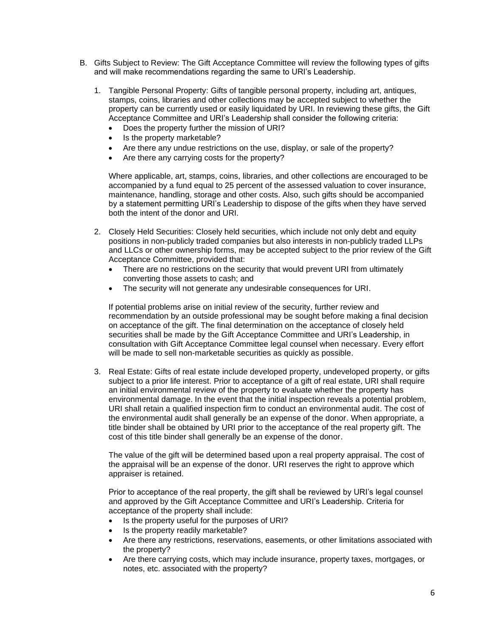- B. Gifts Subject to Review: The Gift Acceptance Committee will review the following types of gifts and will make recommendations regarding the same to URI's Leadership.
	- 1. Tangible Personal Property: Gifts of tangible personal property, including art, antiques, stamps, coins, libraries and other collections may be accepted subject to whether the property can be currently used or easily liquidated by URI. In reviewing these gifts, the Gift Acceptance Committee and URI's Leadership shall consider the following criteria:
		- Does the property further the mission of URI?
		- Is the property marketable?
		- Are there any undue restrictions on the use, display, or sale of the property?
		- Are there any carrying costs for the property?

Where applicable, art, stamps, coins, libraries, and other collections are encouraged to be accompanied by a fund equal to 25 percent of the assessed valuation to cover insurance, maintenance, handling, storage and other costs. Also, such gifts should be accompanied by a statement permitting URI's Leadership to dispose of the gifts when they have served both the intent of the donor and URI.

- 2. Closely Held Securities: Closely held securities, which include not only debt and equity positions in non-publicly traded companies but also interests in non-publicly traded LLPs and LLCs or other ownership forms, may be accepted subject to the prior review of the Gift Acceptance Committee, provided that:
	- There are no restrictions on the security that would prevent URI from ultimately converting those assets to cash; and
	- The security will not generate any undesirable consequences for URI.

If potential problems arise on initial review of the security, further review and recommendation by an outside professional may be sought before making a final decision on acceptance of the gift. The final determination on the acceptance of closely held securities shall be made by the Gift Acceptance Committee and URI's Leadership, in consultation with Gift Acceptance Committee legal counsel when necessary. Every effort will be made to sell non-marketable securities as quickly as possible.

3. Real Estate: Gifts of real estate include developed property, undeveloped property, or gifts subject to a prior life interest. Prior to acceptance of a gift of real estate, URI shall require an initial environmental review of the property to evaluate whether the property has environmental damage. In the event that the initial inspection reveals a potential problem, URI shall retain a qualified inspection firm to conduct an environmental audit. The cost of the environmental audit shall generally be an expense of the donor. When appropriate, a title binder shall be obtained by URI prior to the acceptance of the real property gift. The cost of this title binder shall generally be an expense of the donor.

The value of the gift will be determined based upon a real property appraisal. The cost of the appraisal will be an expense of the donor. URI reserves the right to approve which appraiser is retained.

Prior to acceptance of the real property, the gift shall be reviewed by URI's legal counsel and approved by the Gift Acceptance Committee and URI's Leadership. Criteria for acceptance of the property shall include:

- Is the property useful for the purposes of URI?
- Is the property readily marketable?
- Are there any restrictions, reservations, easements, or other limitations associated with the property?
- Are there carrying costs, which may include insurance, property taxes, mortgages, or notes, etc. associated with the property?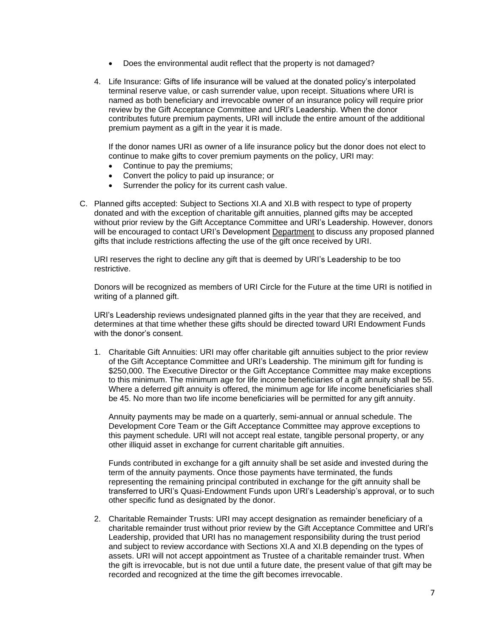- Does the environmental audit reflect that the property is not damaged?
- 4. Life Insurance: Gifts of life insurance will be valued at the donated policy's interpolated terminal reserve value, or cash surrender value, upon receipt. Situations where URI is named as both beneficiary and irrevocable owner of an insurance policy will require prior review by the Gift Acceptance Committee and URI's Leadership. When the donor contributes future premium payments, URI will include the entire amount of the additional premium payment as a gift in the year it is made.

If the donor names URI as owner of a life insurance policy but the donor does not elect to continue to make gifts to cover premium payments on the policy, URI may:

- Continue to pay the premiums:
- Convert the policy to paid up insurance; or
- Surrender the policy for its current cash value.
- C. Planned gifts accepted: Subject to Sections XI.A and XI.B with respect to type of property donated and with the exception of charitable gift annuities, planned gifts may be accepted without prior review by the Gift Acceptance Committee and URI's Leadership. However, donors will be encouraged to contact URI's Development Department to discuss any proposed planned gifts that include restrictions affecting the use of the gift once received by URI.

URI reserves the right to decline any gift that is deemed by URI's Leadership to be too restrictive.

Donors will be recognized as members of URI Circle for the Future at the time URI is notified in writing of a planned gift.

URI's Leadership reviews undesignated planned gifts in the year that they are received, and determines at that time whether these gifts should be directed toward URI Endowment Funds with the donor's consent.

1. Charitable Gift Annuities: URI may offer charitable gift annuities subject to the prior review of the Gift Acceptance Committee and URI's Leadership. The minimum gift for funding is \$250,000. The Executive Director or the Gift Acceptance Committee may make exceptions to this minimum. The minimum age for life income beneficiaries of a gift annuity shall be 55. Where a deferred gift annuity is offered, the minimum age for life income beneficiaries shall be 45. No more than two life income beneficiaries will be permitted for any gift annuity.

Annuity payments may be made on a quarterly, semi-annual or annual schedule. The Development Core Team or the Gift Acceptance Committee may approve exceptions to this payment schedule. URI will not accept real estate, tangible personal property, or any other illiquid asset in exchange for current charitable gift annuities.

Funds contributed in exchange for a gift annuity shall be set aside and invested during the term of the annuity payments. Once those payments have terminated, the funds representing the remaining principal contributed in exchange for the gift annuity shall be transferred to URI's Quasi-Endowment Funds upon URI's Leadership's approval, or to such other specific fund as designated by the donor.

2. Charitable Remainder Trusts: URI may accept designation as remainder beneficiary of a charitable remainder trust without prior review by the Gift Acceptance Committee and URI's Leadership, provided that URI has no management responsibility during the trust period and subject to review accordance with Sections XI.A and XI.B depending on the types of assets. URI will not accept appointment as Trustee of a charitable remainder trust. When the gift is irrevocable, but is not due until a future date, the present value of that gift may be recorded and recognized at the time the gift becomes irrevocable.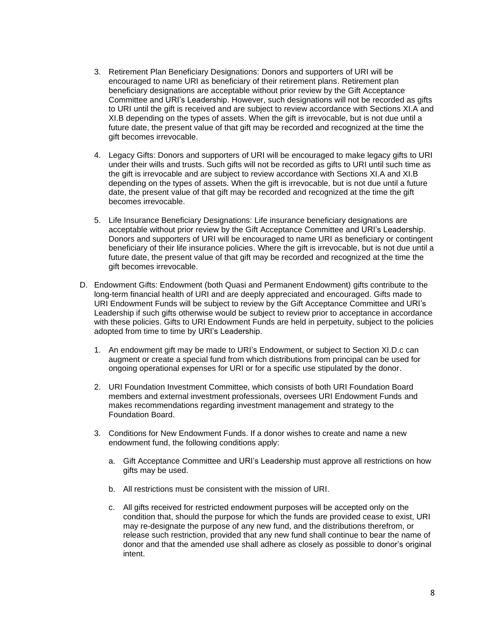- 3. Retirement Plan Beneficiary Designations: Donors and supporters of URI will be encouraged to name URI as beneficiary of their retirement plans. Retirement plan beneficiary designations are acceptable without prior review by the Gift Acceptance Committee and URI's Leadership. However, such designations will not be recorded as gifts to URI until the gift is received and are subject to review accordance with Sections XI.A and XI.B depending on the types of assets. When the gift is irrevocable, but is not due until a future date, the present value of that gift may be recorded and recognized at the time the gift becomes irrevocable.
- 4. Legacy Gifts: Donors and supporters of URI will be encouraged to make legacy gifts to URI under their wills and trusts. Such gifts will not be recorded as gifts to URI until such time as the gift is irrevocable and are subject to review accordance with Sections XI.A and XI.B depending on the types of assets. When the gift is irrevocable, but is not due until a future date, the present value of that gift may be recorded and recognized at the time the gift becomes irrevocable.
- 5. Life Insurance Beneficiary Designations: Life insurance beneficiary designations are acceptable without prior review by the Gift Acceptance Committee and URI's Leadership. Donors and supporters of URI will be encouraged to name URI as beneficiary or contingent beneficiary of their life insurance policies. Where the gift is irrevocable, but is not due until a future date, the present value of that gift may be recorded and recognized at the time the gift becomes irrevocable.
- D. Endowment Gifts: Endowment (both Quasi and Permanent Endowment) gifts contribute to the long-term financial health of URI and are deeply appreciated and encouraged. Gifts made to URI Endowment Funds will be subject to review by the Gift Acceptance Committee and URI's Leadership if such gifts otherwise would be subject to review prior to acceptance in accordance with these policies. Gifts to URI Endowment Funds are held in perpetuity, subject to the policies adopted from time to time by URI's Leadership.
	- 1. An endowment gift may be made to URI's Endowment, or subject to Section XI.D.c can augment or create a special fund from which distributions from principal can be used for ongoing operational expenses for URI or for a specific use stipulated by the donor.
	- 2. URI Foundation Investment Committee, which consists of both URI Foundation Board members and external investment professionals, oversees URI Endowment Funds and makes recommendations regarding investment management and strategy to the Foundation Board.
	- 3. Conditions for New Endowment Funds. If a donor wishes to create and name a new endowment fund, the following conditions apply:
		- a. Gift Acceptance Committee and URI's Leadership must approve all restrictions on how gifts may be used.
		- b. All restrictions must be consistent with the mission of URI.
		- c. All gifts received for restricted endowment purposes will be accepted only on the condition that, should the purpose for which the funds are provided cease to exist, URI may re-designate the purpose of any new fund, and the distributions therefrom, or release such restriction, provided that any new fund shall continue to bear the name of donor and that the amended use shall adhere as closely as possible to donor's original intent.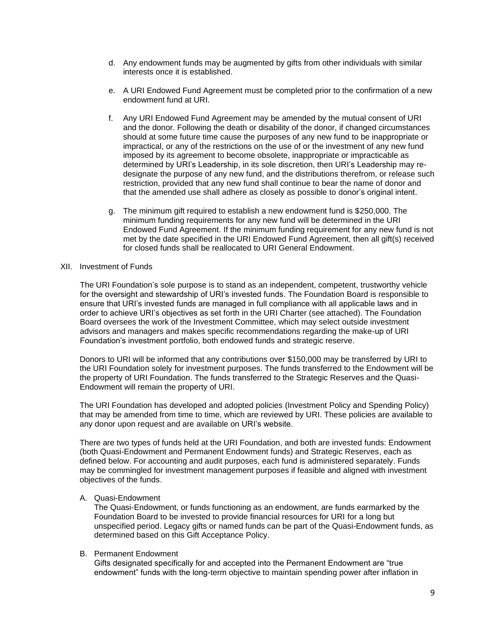- d. Any endowment funds may be augmented by gifts from other individuals with similar interests once it is established.
- e. A URI Endowed Fund Agreement must be completed prior to the confirmation of a new endowment fund at URI.
- f. Any URI Endowed Fund Agreement may be amended by the mutual consent of URI and the donor. Following the death or disability of the donor, if changed circumstances should at some future time cause the purposes of any new fund to be inappropriate or impractical, or any of the restrictions on the use of or the investment of any new fund imposed by its agreement to become obsolete, inappropriate or impracticable as determined by URI's Leadership, in its sole discretion, then URI's Leadership may redesignate the purpose of any new fund, and the distributions therefrom, or release such restriction, provided that any new fund shall continue to bear the name of donor and that the amended use shall adhere as closely as possible to donor's original intent.
- g. The minimum gift required to establish a new endowment fund is \$250,000. The minimum funding requirements for any new fund will be determined in the URI Endowed Fund Agreement. If the minimum funding requirement for any new fund is not met by the date specified in the URI Endowed Fund Agreement, then all gift(s) received for closed funds shall be reallocated to URI General Endowment.

#### XII. Investment of Funds

The URI Foundation's sole purpose is to stand as an independent, competent, trustworthy vehicle for the oversight and stewardship of URI's invested funds. The Foundation Board is responsible to ensure that URI's invested funds are managed in full compliance with all applicable laws and in order to achieve URI's objectives as set forth in the URI Charter (see attached). The Foundation Board oversees the work of the Investment Committee, which may select outside investment advisors and managers and makes specific recommendations regarding the make-up of URI Foundation's investment portfolio, both endowed funds and strategic reserve.

Donors to URI will be informed that any contributions over \$150,000 may be transferred by URI to the URI Foundation solely for investment purposes. The funds transferred to the Endowment will be the property of URI Foundation. The funds transferred to the Strategic Reserves and the Quasi-Endowment will remain the property of URI.

The URI Foundation has developed and adopted policies (Investment Policy and Spending Policy) that may be amended from time to time, which are reviewed by URI. These policies are available to any donor upon request and are available on URI's website.

There are two types of funds held at the URI Foundation, and both are invested funds: Endowment (both Quasi-Endowment and Permanent Endowment funds) and Strategic Reserves, each as defined below. For accounting and audit purposes, each fund is administered separately. Funds may be commingled for investment management purposes if feasible and aligned with investment objectives of the funds.

### A. Quasi-Endowment

The Quasi-Endowment, or funds functioning as an endowment, are funds earmarked by the Foundation Board to be invested to provide financial resources for URI for a long but unspecified period. Legacy gifts or named funds can be part of the Quasi-Endowment funds, as determined based on this Gift Acceptance Policy.

### B. Permanent Endowment

Gifts designated specifically for and accepted into the Permanent Endowment are "true endowment" funds with the long-term objective to maintain spending power after inflation in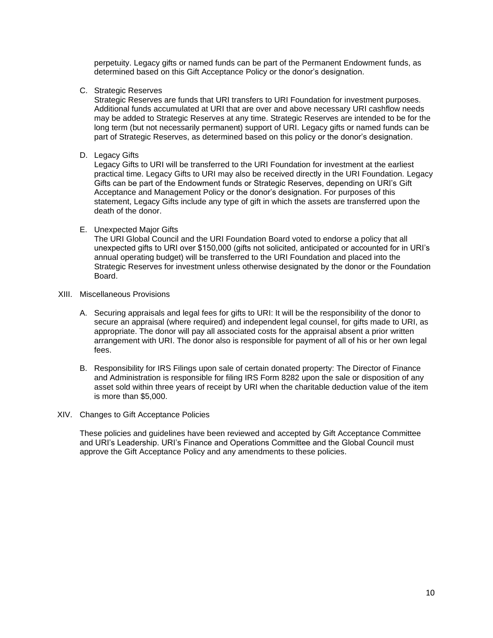perpetuity. Legacy gifts or named funds can be part of the Permanent Endowment funds, as determined based on this Gift Acceptance Policy or the donor's designation.

C. Strategic Reserves

Strategic Reserves are funds that URI transfers to URI Foundation for investment purposes. Additional funds accumulated at URI that are over and above necessary URI cashflow needs may be added to Strategic Reserves at any time. Strategic Reserves are intended to be for the long term (but not necessarily permanent) support of URI. Legacy gifts or named funds can be part of Strategic Reserves, as determined based on this policy or the donor's designation.

D. Legacy Gifts

Legacy Gifts to URI will be transferred to the URI Foundation for investment at the earliest practical time. Legacy Gifts to URI may also be received directly in the URI Foundation. Legacy Gifts can be part of the Endowment funds or Strategic Reserves, depending on URI's Gift Acceptance and Management Policy or the donor's designation. For purposes of this statement, Legacy Gifts include any type of gift in which the assets are transferred upon the death of the donor.

E. Unexpected Major Gifts

The URI Global Council and the URI Foundation Board voted to endorse a policy that all unexpected gifts to URI over \$150,000 (gifts not solicited, anticipated or accounted for in URI's annual operating budget) will be transferred to the URI Foundation and placed into the Strategic Reserves for investment unless otherwise designated by the donor or the Foundation Board.

- XIII. Miscellaneous Provisions
	- A. Securing appraisals and legal fees for gifts to URI: It will be the responsibility of the donor to secure an appraisal (where required) and independent legal counsel, for gifts made to URI, as appropriate. The donor will pay all associated costs for the appraisal absent a prior written arrangement with URI. The donor also is responsible for payment of all of his or her own legal fees.
	- B. Responsibility for IRS Filings upon sale of certain donated property: The Director of Finance and Administration is responsible for filing IRS Form 8282 upon the sale or disposition of any asset sold within three years of receipt by URI when the charitable deduction value of the item is more than \$5,000.
- XIV. Changes to Gift Acceptance Policies

These policies and guidelines have been reviewed and accepted by Gift Acceptance Committee and URI's Leadership. URI's Finance and Operations Committee and the Global Council must approve the Gift Acceptance Policy and any amendments to these policies.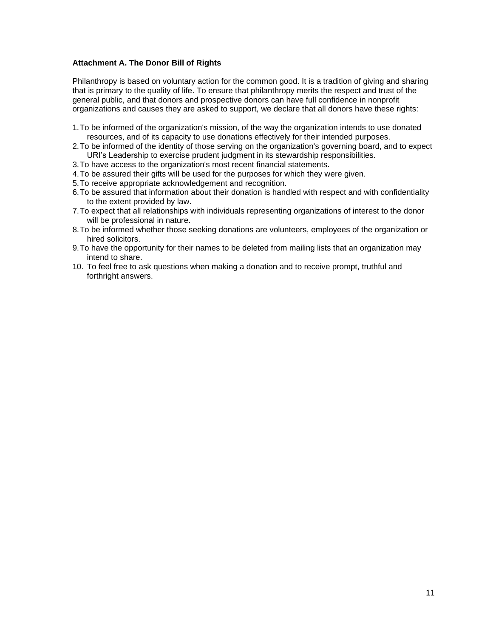## **Attachment A. The Donor Bill of Rights**

Philanthropy is based on voluntary action for the common good. It is a tradition of giving and sharing that is primary to the quality of life. To ensure that philanthropy merits the respect and trust of the general public, and that donors and prospective donors can have full confidence in nonprofit organizations and causes they are asked to support, we declare that all donors have these rights:

- 1.To be informed of the organization's mission, of the way the organization intends to use donated resources, and of its capacity to use donations effectively for their intended purposes.
- 2.To be informed of the identity of those serving on the organization's governing board, and to expect URI's Leadership to exercise prudent judgment in its stewardship responsibilities.
- 3.To have access to the organization's most recent financial statements.
- 4.To be assured their gifts will be used for the purposes for which they were given.
- 5.To receive appropriate acknowledgement and recognition.
- 6.To be assured that information about their donation is handled with respect and with confidentiality to the extent provided by law.
- 7.To expect that all relationships with individuals representing organizations of interest to the donor will be professional in nature.
- 8.To be informed whether those seeking donations are volunteers, employees of the organization or hired solicitors.
- 9.To have the opportunity for their names to be deleted from mailing lists that an organization may intend to share.
- 10. To feel free to ask questions when making a donation and to receive prompt, truthful and forthright answers.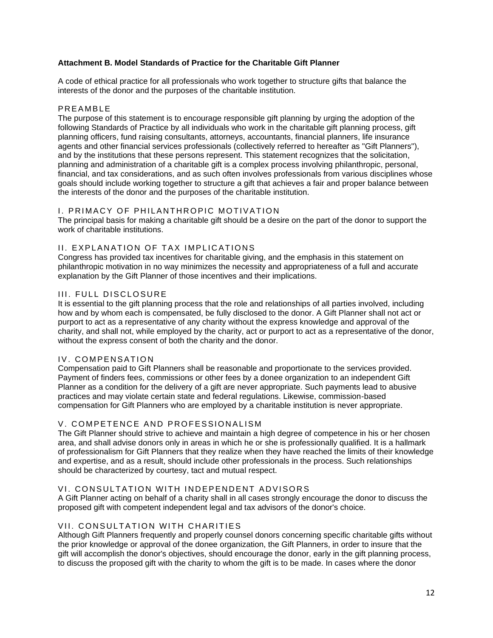## **Attachment B. Model Standards of Practice for the Charitable Gift Planner**

A code of ethical practice for all professionals who work together to structure gifts that balance the interests of the donor and the purposes of the charitable institution.

### **PREAMBLE**

The purpose of this statement is to encourage responsible gift planning by urging the adoption of the following Standards of Practice by all individuals who work in the charitable gift planning process, gift planning officers, fund raising consultants, attorneys, accountants, financial planners, life insurance agents and other financial services professionals (collectively referred to hereafter as "Gift Planners"), and by the institutions that these persons represent. This statement recognizes that the solicitation, planning and administration of a charitable gift is a complex process involving philanthropic, personal, financial, and tax considerations, and as such often involves professionals from various disciplines whose goals should include working together to structure a gift that achieves a fair and proper balance between the interests of the donor and the purposes of the charitable institution.

## I. PRIMACY OF PHILANTHROPIC MOTIVATION

The principal basis for making a charitable gift should be a desire on the part of the donor to support the work of charitable institutions.

## II. EXPLANATION OF TAX IMPLICATIONS

Congress has provided tax incentives for charitable giving, and the emphasis in this statement on philanthropic motivation in no way minimizes the necessity and appropriateness of a full and accurate explanation by the Gift Planner of those incentives and their implications.

## III. FULL DISCLOSURE

It is essential to the gift planning process that the role and relationships of all parties involved, including how and by whom each is compensated, be fully disclosed to the donor. A Gift Planner shall not act or purport to act as a representative of any charity without the express knowledge and approval of the charity, and shall not, while employed by the charity, act or purport to act as a representative of the donor, without the express consent of both the charity and the donor.

### IV. COMPENSATION

Compensation paid to Gift Planners shall be reasonable and proportionate to the services provided. Payment of finders fees, commissions or other fees by a donee organization to an independent Gift Planner as a condition for the delivery of a gift are never appropriate. Such payments lead to abusive practices and may violate certain state and federal regulations. Likewise, commission-based compensation for Gift Planners who are employed by a charitable institution is never appropriate.

### V. COMPETENCE AND PROFESSIONALISM

The Gift Planner should strive to achieve and maintain a high degree of competence in his or her chosen area, and shall advise donors only in areas in which he or she is professionally qualified. It is a hallmark of professionalism for Gift Planners that they realize when they have reached the limits of their knowledge and expertise, and as a result, should include other professionals in the process. Such relationships should be characterized by courtesy, tact and mutual respect.

## VI. CONSULTATION WITH INDEPENDENT ADVISORS

A Gift Planner acting on behalf of a charity shall in all cases strongly encourage the donor to discuss the proposed gift with competent independent legal and tax advisors of the donor's choice.

## VII. CONSULTATION WITH CHARITIES

Although Gift Planners frequently and properly counsel donors concerning specific charitable gifts without the prior knowledge or approval of the donee organization, the Gift Planners, in order to insure that the gift will accomplish the donor's objectives, should encourage the donor, early in the gift planning process, to discuss the proposed gift with the charity to whom the gift is to be made. In cases where the donor